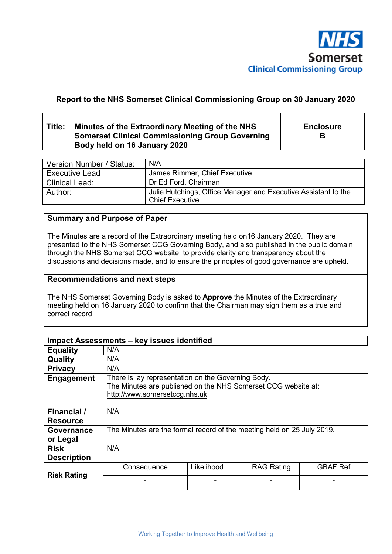

# **Report to the NHS Somerset Clinical Commissioning Group on 30 January 2020**

## **Title: Minutes of the Extraordinary Meeting of the NHS Somerset Clinical Commissioning Group Governing Body held on 16 January 2020**

**Enclosure B** 

| Version Number / Status: | N/A                                                                                      |
|--------------------------|------------------------------------------------------------------------------------------|
| <b>Executive Lead</b>    | James Rimmer, Chief Executive                                                            |
| <b>Clinical Lead:</b>    | Dr Ed Ford, Chairman                                                                     |
| Author:                  | Julie Hutchings, Office Manager and Executive Assistant to the<br><b>Chief Executive</b> |

## **Summary and Purpose of Paper**

The Minutes are a record of the Extraordinary meeting held on16 January 2020. They are presented to the NHS Somerset CCG Governing Body, and also published in the public domain through the NHS Somerset CCG website, to provide clarity and transparency about the discussions and decisions made, and to ensure the principles of good governance are upheld.

### **Recommendations and next steps**

The NHS Somerset Governing Body is asked to **Approve** the Minutes of the Extraordinary meeting held on 16 January 2020 to confirm that the Chairman may sign them as a true and correct record.

| Impact Assessments - key issues identified |                                                                                                                                                      |            |                   |                 |  |
|--------------------------------------------|------------------------------------------------------------------------------------------------------------------------------------------------------|------------|-------------------|-----------------|--|
| <b>Equality</b>                            | N/A                                                                                                                                                  |            |                   |                 |  |
| Quality                                    | N/A                                                                                                                                                  |            |                   |                 |  |
| <b>Privacy</b>                             | N/A                                                                                                                                                  |            |                   |                 |  |
| <b>Engagement</b>                          | There is lay representation on the Governing Body.<br>The Minutes are published on the NHS Somerset CCG website at:<br>http://www.somersetccg.nhs.uk |            |                   |                 |  |
| <b>Financial</b> /<br><b>Resource</b>      | N/A                                                                                                                                                  |            |                   |                 |  |
| Governance<br>or Legal                     | The Minutes are the formal record of the meeting held on 25 July 2019.                                                                               |            |                   |                 |  |
| <b>Risk</b><br><b>Description</b>          | N/A                                                                                                                                                  |            |                   |                 |  |
| <b>Risk Rating</b>                         | Consequence                                                                                                                                          | Likelihood | <b>RAG Rating</b> | <b>GBAF Ref</b> |  |
|                                            |                                                                                                                                                      |            |                   |                 |  |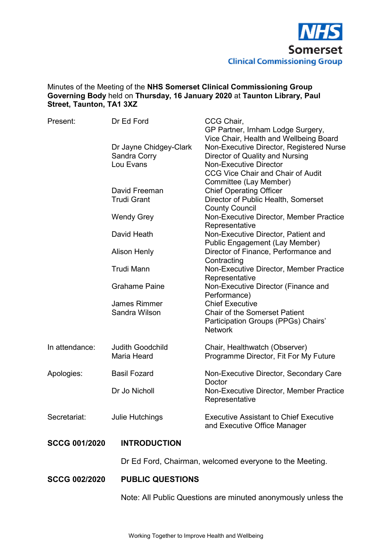

### Minutes of the Meeting of the **NHS Somerset Clinical Commissioning Group Governing Body** held on **Thursday, 16 January 2020** at **Taunton Library, Paul Street, Taunton, TA1 3XZ**

| Present:             | Dr Ed Ford                                          | CCG Chair,<br>GP Partner, Irnham Lodge Surgery,                                                                                                                                                    |
|----------------------|-----------------------------------------------------|----------------------------------------------------------------------------------------------------------------------------------------------------------------------------------------------------|
|                      | Dr Jayne Chidgey-Clark<br>Sandra Corry<br>Lou Evans | Vice Chair, Health and Wellbeing Board<br>Non-Executive Director, Registered Nurse<br>Director of Quality and Nursing<br><b>Non-Executive Director</b><br><b>CCG Vice Chair and Chair of Audit</b> |
|                      | David Freeman<br><b>Trudi Grant</b>                 | Committee (Lay Member)<br><b>Chief Operating Officer</b><br>Director of Public Health, Somerset<br><b>County Council</b>                                                                           |
|                      | <b>Wendy Grey</b>                                   | Non-Executive Director, Member Practice<br>Representative                                                                                                                                          |
|                      | David Heath                                         | Non-Executive Director, Patient and                                                                                                                                                                |
|                      | <b>Alison Henly</b>                                 | Public Engagement (Lay Member)<br>Director of Finance, Performance and                                                                                                                             |
|                      | <b>Trudi Mann</b>                                   | Contracting<br>Non-Executive Director, Member Practice                                                                                                                                             |
|                      | <b>Grahame Paine</b>                                | Representative<br>Non-Executive Director (Finance and<br>Performance)                                                                                                                              |
|                      | <b>James Rimmer</b><br>Sandra Wilson                | <b>Chief Executive</b><br><b>Chair of the Somerset Patient</b><br>Participation Groups (PPGs) Chairs'<br><b>Network</b>                                                                            |
| In attendance:       | <b>Judith Goodchild</b><br><b>Maria Heard</b>       | Chair, Healthwatch (Observer)<br>Programme Director, Fit For My Future                                                                                                                             |
| Apologies:           | <b>Basil Fozard</b>                                 | Non-Executive Director, Secondary Care<br>Doctor                                                                                                                                                   |
|                      | Dr Jo Nicholl                                       | Non-Executive Director, Member Practice<br>Representative                                                                                                                                          |
| Secretariat:         | <b>Julie Hutchings</b>                              | <b>Executive Assistant to Chief Executive</b><br>and Executive Office Manager                                                                                                                      |
| <b>SCCG 001/2020</b> | <b>INTRODUCTION</b>                                 |                                                                                                                                                                                                    |
|                      |                                                     | Dr Ed Ford, Chairman, welcomed everyone to the Meeting.                                                                                                                                            |
| <b>SCCG 002/2020</b> | <b>PUBLIC QUESTIONS</b>                             |                                                                                                                                                                                                    |

Note: All Public Questions are minuted anonymously unless the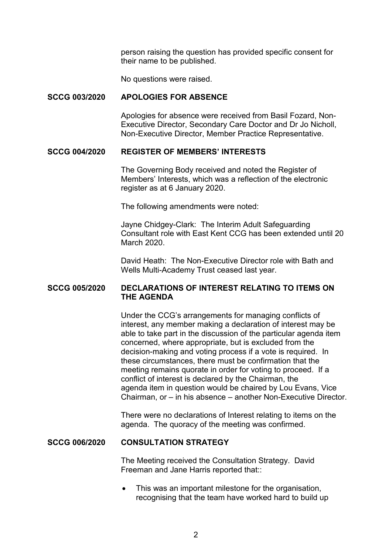person raising the question has provided specific consent for their name to be published.

No questions were raised.

## **SCCG 003/2020 APOLOGIES FOR ABSENCE**

 Apologies for absence were received from Basil Fozard, Non-Executive Director, Secondary Care Doctor and Dr Jo Nicholl, Non-Executive Director, Member Practice Representative.

#### **SCCG 004/2020 REGISTER OF MEMBERS' INTERESTS**

 The Governing Body received and noted the Register of Members' Interests, which was a reflection of the electronic register as at 6 January 2020.

The following amendments were noted:

Jayne Chidgey-Clark: The Interim Adult Safeguarding Consultant role with East Kent CCG has been extended until 20 March 2020.

David Heath: The Non-Executive Director role with Bath and Wells Multi-Academy Trust ceased last year.

## **SCCG 005/2020 DECLARATIONS OF INTEREST RELATING TO ITEMS ON THE AGENDA**

 Under the CCG's arrangements for managing conflicts of interest, any member making a declaration of interest may be able to take part in the discussion of the particular agenda item concerned, where appropriate, but is excluded from the decision-making and voting process if a vote is required. In these circumstances, there must be confirmation that the meeting remains quorate in order for voting to proceed. If a conflict of interest is declared by the Chairman, the agenda item in question would be chaired by Lou Evans, Vice Chairman, or – in his absence – another Non-Executive Director.

 There were no declarations of Interest relating to items on the agenda. The quoracy of the meeting was confirmed.

#### **SCCG 006/2020 CONSULTATION STRATEGY**

 The Meeting received the Consultation Strategy. David Freeman and Jane Harris reported that::

• This was an important milestone for the organisation, recognising that the team have worked hard to build up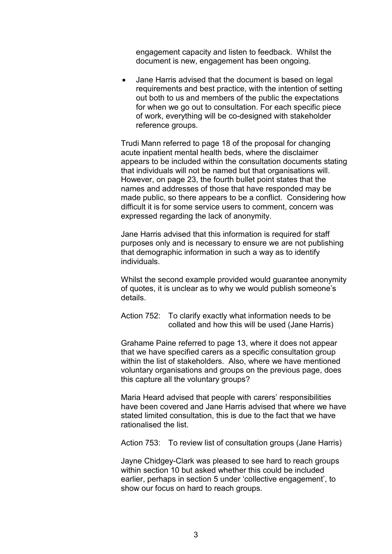engagement capacity and listen to feedback. Whilst the document is new, engagement has been ongoing.

• Jane Harris advised that the document is based on legal requirements and best practice, with the intention of setting out both to us and members of the public the expectations for when we go out to consultation. For each specific piece of work, everything will be co-designed with stakeholder reference groups.

 Trudi Mann referred to page 18 of the proposal for changing acute inpatient mental health beds, where the disclaimer appears to be included within the consultation documents stating that individuals will not be named but that organisations will. However, on page 23, the fourth bullet point states that the names and addresses of those that have responded may be made public, so there appears to be a conflict. Considering how difficult it is for some service users to comment, concern was expressed regarding the lack of anonymity.

Jane Harris advised that this information is required for staff purposes only and is necessary to ensure we are not publishing that demographic information in such a way as to identify individuals.

Whilst the second example provided would guarantee anonymity of quotes, it is unclear as to why we would publish someone's details.

 Action 752: To clarify exactly what information needs to be collated and how this will be used (Jane Harris)

 Grahame Paine referred to page 13, where it does not appear that we have specified carers as a specific consultation group within the list of stakeholders. Also, where we have mentioned voluntary organisations and groups on the previous page, does this capture all the voluntary groups?

Maria Heard advised that people with carers' responsibilities have been covered and Jane Harris advised that where we have stated limited consultation, this is due to the fact that we have rationalised the list.

Action 753: To review list of consultation groups (Jane Harris)

 Jayne Chidgey-Clark was pleased to see hard to reach groups within section 10 but asked whether this could be included earlier, perhaps in section 5 under 'collective engagement', to show our focus on hard to reach groups.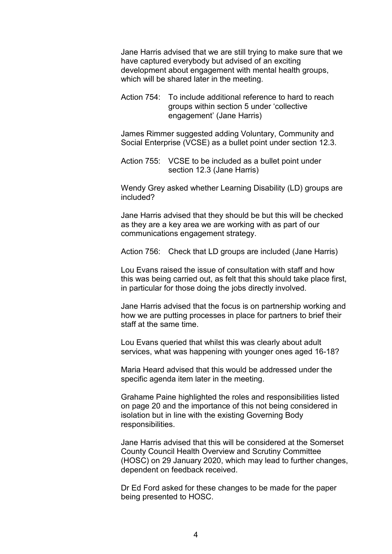Jane Harris advised that we are still trying to make sure that we have captured everybody but advised of an exciting development about engagement with mental health groups, which will be shared later in the meeting.

 Action 754: To include additional reference to hard to reach groups within section 5 under 'collective engagement' (Jane Harris)

 James Rimmer suggested adding Voluntary, Community and Social Enterprise (VCSE) as a bullet point under section 12.3.

 Action 755: VCSE to be included as a bullet point under section 12.3 (Jane Harris)

 Wendy Grey asked whether Learning Disability (LD) groups are included?

Jane Harris advised that they should be but this will be checked as they are a key area we are working with as part of our communications engagement strategy.

Action 756: Check that LD groups are included (Jane Harris)

 Lou Evans raised the issue of consultation with staff and how this was being carried out, as felt that this should take place first, in particular for those doing the jobs directly involved.

Jane Harris advised that the focus is on partnership working and how we are putting processes in place for partners to brief their staff at the same time.

Lou Evans queried that whilst this was clearly about adult services, what was happening with younger ones aged 16-18?

Maria Heard advised that this would be addressed under the specific agenda item later in the meeting.

 Grahame Paine highlighted the roles and responsibilities listed on page 20 and the importance of this not being considered in isolation but in line with the existing Governing Body responsibilities.

Jane Harris advised that this will be considered at the Somerset County Council Health Overview and Scrutiny Committee (HOSC) on 29 January 2020, which may lead to further changes, dependent on feedback received.

Dr Ed Ford asked for these changes to be made for the paper being presented to HOSC.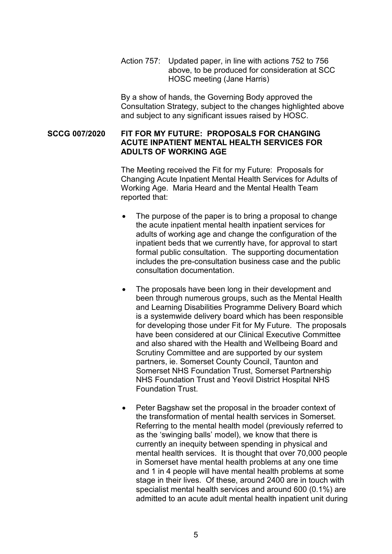Action 757: Updated paper, in line with actions 752 to 756 above, to be produced for consideration at SCC HOSC meeting (Jane Harris)

 By a show of hands, the Governing Body approved the Consultation Strategy, subject to the changes highlighted above and subject to any significant issues raised by HOSC.

## **SCCG 007/2020 FIT FOR MY FUTURE: PROPOSALS FOR CHANGING ACUTE INPATIENT MENTAL HEALTH SERVICES FOR ADULTS OF WORKING AGE**

 The Meeting received the Fit for my Future: Proposals for Changing Acute Inpatient Mental Health Services for Adults of Working Age. Maria Heard and the Mental Health Team reported that:

- The purpose of the paper is to bring a proposal to change the acute inpatient mental health inpatient services for adults of working age and change the configuration of the inpatient beds that we currently have, for approval to start formal public consultation. The supporting documentation includes the pre-consultation business case and the public consultation documentation.
- The proposals have been long in their development and been through numerous groups, such as the Mental Health and Learning Disabilities Programme Delivery Board which is a systemwide delivery board which has been responsible for developing those under Fit for My Future. The proposals have been considered at our Clinical Executive Committee and also shared with the Health and Wellbeing Board and Scrutiny Committee and are supported by our system partners, ie. Somerset County Council, Taunton and Somerset NHS Foundation Trust, Somerset Partnership NHS Foundation Trust and Yeovil District Hospital NHS Foundation Trust.
- Peter Bagshaw set the proposal in the broader context of the transformation of mental health services in Somerset. Referring to the mental health model (previously referred to as the 'swinging balls' model), we know that there is currently an inequity between spending in physical and mental health services. It is thought that over 70,000 people in Somerset have mental health problems at any one time and 1 in 4 people will have mental health problems at some stage in their lives. Of these, around 2400 are in touch with specialist mental health services and around 600 (0.1%) are admitted to an acute adult mental health inpatient unit during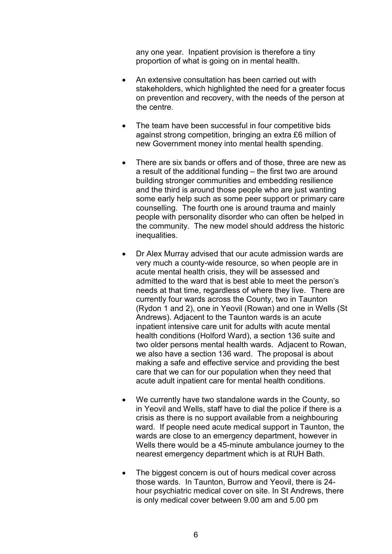any one year. Inpatient provision is therefore a tiny proportion of what is going on in mental health.

- An extensive consultation has been carried out with stakeholders, which highlighted the need for a greater focus on prevention and recovery, with the needs of the person at the centre.
- The team have been successful in four competitive bids against strong competition, bringing an extra £6 million of new Government money into mental health spending.
- There are six bands or offers and of those, three are new as a result of the additional funding – the first two are around building stronger communities and embedding resilience and the third is around those people who are just wanting some early help such as some peer support or primary care counselling. The fourth one is around trauma and mainly people with personality disorder who can often be helped in the community. The new model should address the historic inequalities.
- Dr Alex Murray advised that our acute admission wards are very much a county-wide resource, so when people are in acute mental health crisis, they will be assessed and admitted to the ward that is best able to meet the person's needs at that time, regardless of where they live. There are currently four wards across the County, two in Taunton (Rydon 1 and 2), one in Yeovil (Rowan) and one in Wells (St Andrews). Adjacent to the Taunton wards is an acute inpatient intensive care unit for adults with acute mental health conditions (Holford Ward), a section 136 suite and two older persons mental health wards. Adjacent to Rowan, we also have a section 136 ward. The proposal is about making a safe and effective service and providing the best care that we can for our population when they need that acute adult inpatient care for mental health conditions.
- We currently have two standalone wards in the County, so in Yeovil and Wells, staff have to dial the police if there is a crisis as there is no support available from a neighbouring ward. If people need acute medical support in Taunton, the wards are close to an emergency department, however in Wells there would be a 45-minute ambulance journey to the nearest emergency department which is at RUH Bath.
- The biggest concern is out of hours medical cover across those wards. In Taunton, Burrow and Yeovil, there is 24 hour psychiatric medical cover on site. In St Andrews, there is only medical cover between 9.00 am and 5.00 pm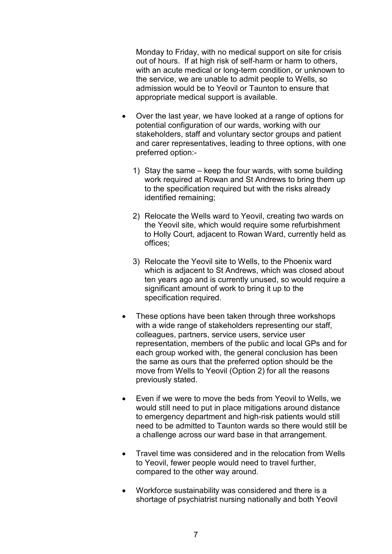Monday to Friday, with no medical support on site for crisis out of hours. If at high risk of self-harm or harm to others, with an acute medical or long-term condition, or unknown to the service, we are unable to admit people to Wells, so admission would be to Yeovil or Taunton to ensure that appropriate medical support is available.

- Over the last year, we have looked at a range of options for potential configuration of our wards, working with our stakeholders, staff and voluntary sector groups and patient and carer representatives, leading to three options, with one preferred option:-
	- 1) Stay the same keep the four wards, with some building work required at Rowan and St Andrews to bring them up to the specification required but with the risks already identified remaining;
	- 2) Relocate the Wells ward to Yeovil, creating two wards on the Yeovil site, which would require some refurbishment to Holly Court, adjacent to Rowan Ward, currently held as offices;
	- 3) Relocate the Yeovil site to Wells, to the Phoenix ward which is adjacent to St Andrews, which was closed about ten years ago and is currently unused, so would require a significant amount of work to bring it up to the specification required.
- These options have been taken through three workshops with a wide range of stakeholders representing our staff, colleagues, partners, service users, service user representation, members of the public and local GPs and for each group worked with, the general conclusion has been the same as ours that the preferred option should be the move from Wells to Yeovil (Option 2) for all the reasons previously stated.
- Even if we were to move the beds from Yeovil to Wells, we would still need to put in place mitigations around distance to emergency department and high-risk patients would still need to be admitted to Taunton wards so there would still be a challenge across our ward base in that arrangement.
- Travel time was considered and in the relocation from Wells to Yeovil, fewer people would need to travel further, compared to the other way around.
- Workforce sustainability was considered and there is a shortage of psychiatrist nursing nationally and both Yeovil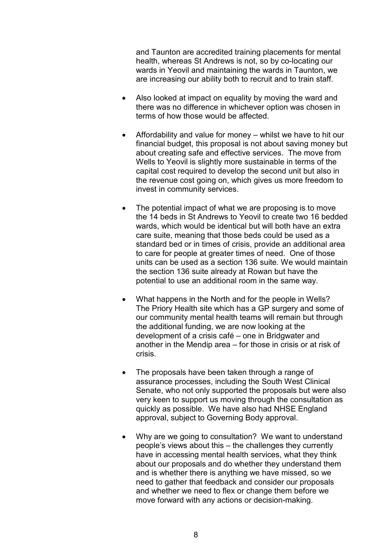and Taunton are accredited training placements for mental health, whereas St Andrews is not, so by co-locating our wards in Yeovil and maintaining the wards in Taunton, we are increasing our ability both to recruit and to train staff.

- Also looked at impact on equality by moving the ward and there was no difference in whichever option was chosen in terms of how those would be affected.
- Affordability and value for money whilst we have to hit our financial budget, this proposal is not about saving money but about creating safe and effective services. The move from Wells to Yeovil is slightly more sustainable in terms of the capital cost required to develop the second unit but also in the revenue cost going on, which gives us more freedom to invest in community services.
- The potential impact of what we are proposing is to move the 14 beds in St Andrews to Yeovil to create two 16 bedded wards, which would be identical but will both have an extra care suite, meaning that those beds could be used as a standard bed or in times of crisis, provide an additional area to care for people at greater times of need. One of those units can be used as a section 136 suite. We would maintain the section 136 suite already at Rowan but have the potential to use an additional room in the same way.
- What happens in the North and for the people in Wells? The Priory Health site which has a GP surgery and some of our community mental health teams will remain but through the additional funding, we are now looking at the development of a crisis café – one in Bridgwater and another in the Mendip area – for those in crisis or at risk of crisis.
- The proposals have been taken through a range of assurance processes, including the South West Clinical Senate, who not only supported the proposals but were also very keen to support us moving through the consultation as quickly as possible. We have also had NHSE England approval, subject to Governing Body approval.
- Why are we going to consultation? We want to understand people's views about this – the challenges they currently have in accessing mental health services, what they think about our proposals and do whether they understand them and is whether there is anything we have missed, so we need to gather that feedback and consider our proposals and whether we need to flex or change them before we move forward with any actions or decision-making.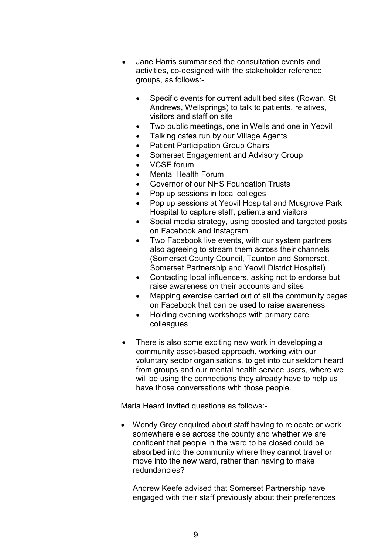- Jane Harris summarised the consultation events and activities, co-designed with the stakeholder reference groups, as follows:-
	- Specific events for current adult bed sites (Rowan, St. Andrews, Wellsprings) to talk to patients, relatives, visitors and staff on site
	- Two public meetings, one in Wells and one in Yeovil
	- Talking cafes run by our Village Agents
	- Patient Participation Group Chairs
	- Somerset Engagement and Advisory Group
	- VCSE forum
	- Mental Health Forum
	- Governor of our NHS Foundation Trusts
	- Pop up sessions in local colleges
	- Pop up sessions at Yeovil Hospital and Musgrove Park Hospital to capture staff, patients and visitors
	- Social media strategy, using boosted and targeted posts on Facebook and Instagram
	- Two Facebook live events, with our system partners also agreeing to stream them across their channels (Somerset County Council, Taunton and Somerset, Somerset Partnership and Yeovil District Hospital)
	- Contacting local influencers, asking not to endorse but raise awareness on their accounts and sites
	- Mapping exercise carried out of all the community pages on Facebook that can be used to raise awareness
	- Holding evening workshops with primary care colleagues
- There is also some exciting new work in developing a community asset-based approach, working with our voluntary sector organisations, to get into our seldom heard from groups and our mental health service users, where we will be using the connections they already have to help us have those conversations with those people.

Maria Heard invited questions as follows:-

• Wendy Grey enquired about staff having to relocate or work somewhere else across the county and whether we are confident that people in the ward to be closed could be absorbed into the community where they cannot travel or move into the new ward, rather than having to make redundancies?

Andrew Keefe advised that Somerset Partnership have engaged with their staff previously about their preferences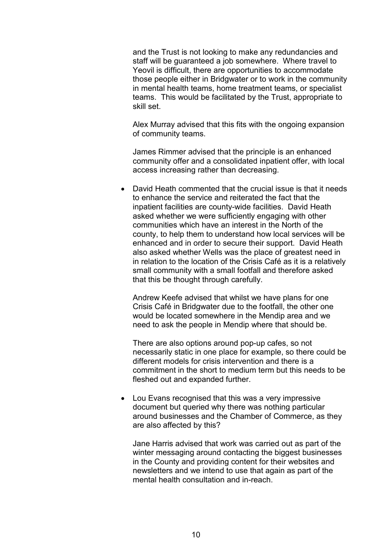and the Trust is not looking to make any redundancies and staff will be guaranteed a job somewhere. Where travel to Yeovil is difficult, there are opportunities to accommodate those people either in Bridgwater or to work in the community in mental health teams, home treatment teams, or specialist teams. This would be facilitated by the Trust, appropriate to skill set.

Alex Murray advised that this fits with the ongoing expansion of community teams.

James Rimmer advised that the principle is an enhanced community offer and a consolidated inpatient offer, with local access increasing rather than decreasing.

• David Heath commented that the crucial issue is that it needs to enhance the service and reiterated the fact that the inpatient facilities are county-wide facilities. David Heath asked whether we were sufficiently engaging with other communities which have an interest in the North of the county, to help them to understand how local services will be enhanced and in order to secure their support. David Heath also asked whether Wells was the place of greatest need in in relation to the location of the Crisis Café as it is a relatively small community with a small footfall and therefore asked that this be thought through carefully.

Andrew Keefe advised that whilst we have plans for one Crisis Café in Bridgwater due to the footfall, the other one would be located somewhere in the Mendip area and we need to ask the people in Mendip where that should be.

There are also options around pop-up cafes, so not necessarily static in one place for example, so there could be different models for crisis intervention and there is a commitment in the short to medium term but this needs to be fleshed out and expanded further.

• Lou Evans recognised that this was a very impressive document but queried why there was nothing particular around businesses and the Chamber of Commerce, as they are also affected by this?

Jane Harris advised that work was carried out as part of the winter messaging around contacting the biggest businesses in the County and providing content for their websites and newsletters and we intend to use that again as part of the mental health consultation and in-reach.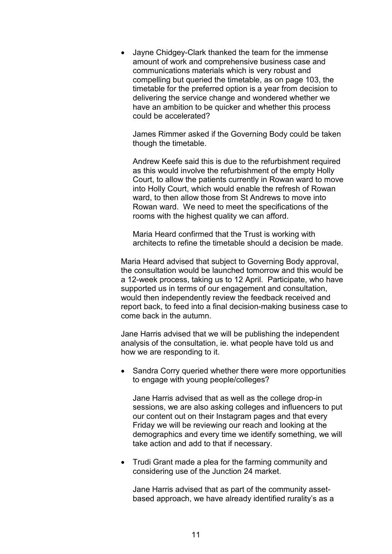• Jayne Chidgey-Clark thanked the team for the immense amount of work and comprehensive business case and communications materials which is very robust and compelling but queried the timetable, as on page 103, the timetable for the preferred option is a year from decision to delivering the service change and wondered whether we have an ambition to be quicker and whether this process could be accelerated?

James Rimmer asked if the Governing Body could be taken though the timetable.

Andrew Keefe said this is due to the refurbishment required as this would involve the refurbishment of the empty Holly Court, to allow the patients currently in Rowan ward to move into Holly Court, which would enable the refresh of Rowan ward, to then allow those from St Andrews to move into Rowan ward. We need to meet the specifications of the rooms with the highest quality we can afford.

Maria Heard confirmed that the Trust is working with architects to refine the timetable should a decision be made.

Maria Heard advised that subject to Governing Body approval, the consultation would be launched tomorrow and this would be a 12-week process, taking us to 12 April. Participate, who have supported us in terms of our engagement and consultation, would then independently review the feedback received and report back, to feed into a final decision-making business case to come back in the autumn.

Jane Harris advised that we will be publishing the independent analysis of the consultation, ie. what people have told us and how we are responding to it.

• Sandra Corry queried whether there were more opportunities to engage with young people/colleges?

Jane Harris advised that as well as the college drop-in sessions, we are also asking colleges and influencers to put our content out on their Instagram pages and that every Friday we will be reviewing our reach and looking at the demographics and every time we identify something, we will take action and add to that if necessary.

• Trudi Grant made a plea for the farming community and considering use of the Junction 24 market.

Jane Harris advised that as part of the community assetbased approach, we have already identified rurality's as a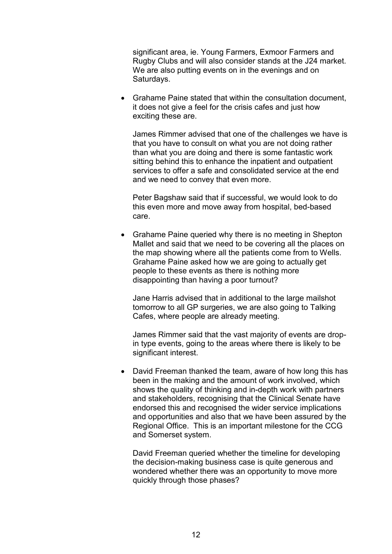significant area, ie. Young Farmers, Exmoor Farmers and Rugby Clubs and will also consider stands at the J24 market. We are also putting events on in the evenings and on Saturdays.

• Grahame Paine stated that within the consultation document, it does not give a feel for the crisis cafes and just how exciting these are.

James Rimmer advised that one of the challenges we have is that you have to consult on what you are not doing rather than what you are doing and there is some fantastic work sitting behind this to enhance the inpatient and outpatient services to offer a safe and consolidated service at the end and we need to convey that even more.

Peter Bagshaw said that if successful, we would look to do this even more and move away from hospital, bed-based care.

• Grahame Paine queried why there is no meeting in Shepton Mallet and said that we need to be covering all the places on the map showing where all the patients come from to Wells. Grahame Paine asked how we are going to actually get people to these events as there is nothing more disappointing than having a poor turnout?

Jane Harris advised that in additional to the large mailshot tomorrow to all GP surgeries, we are also going to Talking Cafes, where people are already meeting.

James Rimmer said that the vast majority of events are dropin type events, going to the areas where there is likely to be significant interest.

• David Freeman thanked the team, aware of how long this has been in the making and the amount of work involved, which shows the quality of thinking and in-depth work with partners and stakeholders, recognising that the Clinical Senate have endorsed this and recognised the wider service implications and opportunities and also that we have been assured by the Regional Office. This is an important milestone for the CCG and Somerset system.

David Freeman queried whether the timeline for developing the decision-making business case is quite generous and wondered whether there was an opportunity to move more quickly through those phases?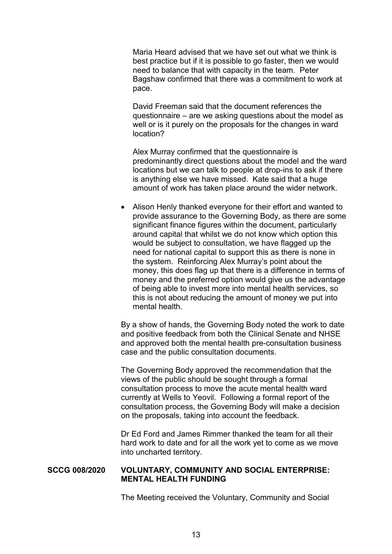Maria Heard advised that we have set out what we think is best practice but if it is possible to go faster, then we would need to balance that with capacity in the team. Peter Bagshaw confirmed that there was a commitment to work at pace.

David Freeman said that the document references the questionnaire – are we asking questions about the model as well or is it purely on the proposals for the changes in ward location?

Alex Murray confirmed that the questionnaire is predominantly direct questions about the model and the ward locations but we can talk to people at drop-ins to ask if there is anything else we have missed. Kate said that a huge amount of work has taken place around the wider network.

• Alison Henly thanked everyone for their effort and wanted to provide assurance to the Governing Body, as there are some significant finance figures within the document, particularly around capital that whilst we do not know which option this would be subject to consultation, we have flagged up the need for national capital to support this as there is none in the system. Reinforcing Alex Murray's point about the money, this does flag up that there is a difference in terms of money and the preferred option would give us the advantage of being able to invest more into mental health services, so this is not about reducing the amount of money we put into mental health.

 By a show of hands, the Governing Body noted the work to date and positive feedback from both the Clinical Senate and NHSE and approved both the mental health pre-consultation business case and the public consultation documents.

The Governing Body approved the recommendation that the views of the public should be sought through a formal consultation process to move the acute mental health ward currently at Wells to Yeovil. Following a formal report of the consultation process, the Governing Body will make a decision on the proposals, taking into account the feedback.

Dr Ed Ford and James Rimmer thanked the team for all their hard work to date and for all the work yet to come as we move into uncharted territory.

## **SCCG 008/2020 VOLUNTARY, COMMUNITY AND SOCIAL ENTERPRISE: MENTAL HEALTH FUNDING**

The Meeting received the Voluntary, Community and Social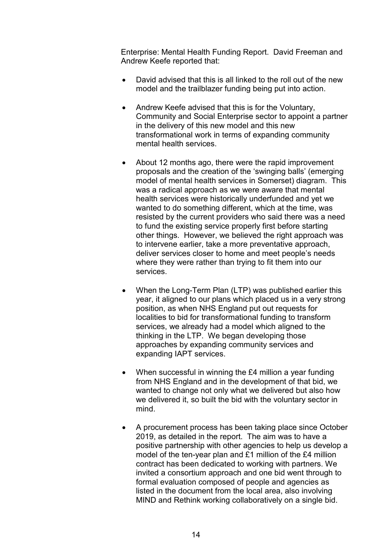Enterprise: Mental Health Funding Report. David Freeman and Andrew Keefe reported that:

- David advised that this is all linked to the roll out of the new model and the trailblazer funding being put into action.
- Andrew Keefe advised that this is for the Voluntary, Community and Social Enterprise sector to appoint a partner in the delivery of this new model and this new transformational work in terms of expanding community mental health services.
- About 12 months ago, there were the rapid improvement proposals and the creation of the 'swinging balls' (emerging model of mental health services in Somerset) diagram. This was a radical approach as we were aware that mental health services were historically underfunded and yet we wanted to do something different, which at the time, was resisted by the current providers who said there was a need to fund the existing service properly first before starting other things. However, we believed the right approach was to intervene earlier, take a more preventative approach, deliver services closer to home and meet people's needs where they were rather than trying to fit them into our services.
- When the Long-Term Plan (LTP) was published earlier this year, it aligned to our plans which placed us in a very strong position, as when NHS England put out requests for localities to bid for transformational funding to transform services, we already had a model which aligned to the thinking in the LTP. We began developing those approaches by expanding community services and expanding IAPT services.
- When successful in winning the £4 million a year funding from NHS England and in the development of that bid, we wanted to change not only what we delivered but also how we delivered it, so built the bid with the voluntary sector in mind.
- A procurement process has been taking place since October 2019, as detailed in the report. The aim was to have a positive partnership with other agencies to help us develop a model of the ten-year plan and £1 million of the £4 million contract has been dedicated to working with partners. We invited a consortium approach and one bid went through to formal evaluation composed of people and agencies as listed in the document from the local area, also involving MIND and Rethink working collaboratively on a single bid.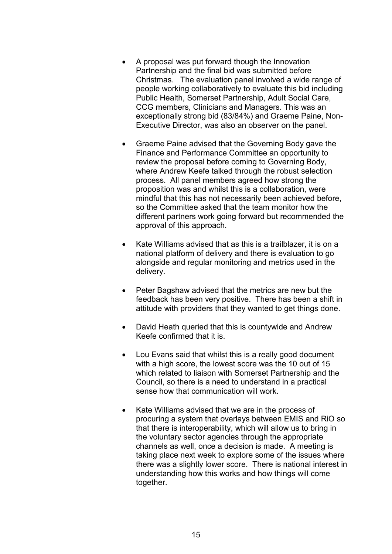- A proposal was put forward though the Innovation Partnership and the final bid was submitted before Christmas. The evaluation panel involved a wide range of people working collaboratively to evaluate this bid including Public Health, Somerset Partnership, Adult Social Care, CCG members, Clinicians and Managers. This was an exceptionally strong bid (83/84%) and Graeme Paine, Non-Executive Director, was also an observer on the panel.
- Graeme Paine advised that the Governing Body gave the Finance and Performance Committee an opportunity to review the proposal before coming to Governing Body, where Andrew Keefe talked through the robust selection process. All panel members agreed how strong the proposition was and whilst this is a collaboration, were mindful that this has not necessarily been achieved before, so the Committee asked that the team monitor how the different partners work going forward but recommended the approval of this approach.
- Kate Williams advised that as this is a trailblazer, it is on a national platform of delivery and there is evaluation to go alongside and regular monitoring and metrics used in the delivery.
- Peter Bagshaw advised that the metrics are new but the feedback has been very positive. There has been a shift in attitude with providers that they wanted to get things done.
- David Heath queried that this is countywide and Andrew Keefe confirmed that it is.
- Lou Evans said that whilst this is a really good document with a high score, the lowest score was the 10 out of 15 which related to liaison with Somerset Partnership and the Council, so there is a need to understand in a practical sense how that communication will work.
- Kate Williams advised that we are in the process of procuring a system that overlays between EMIS and RiO so that there is interoperability, which will allow us to bring in the voluntary sector agencies through the appropriate channels as well, once a decision is made. A meeting is taking place next week to explore some of the issues where there was a slightly lower score. There is national interest in understanding how this works and how things will come together.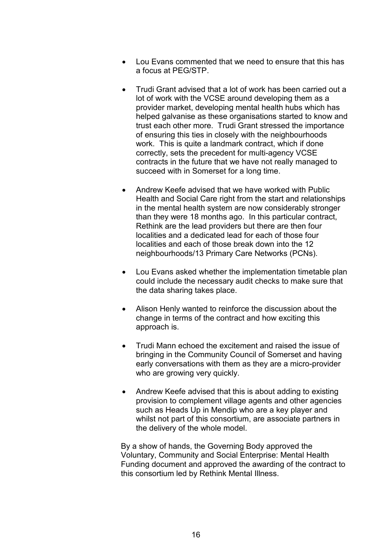- Lou Evans commented that we need to ensure that this has a focus at PEG/STP.
- Trudi Grant advised that a lot of work has been carried out a lot of work with the VCSE around developing them as a provider market, developing mental health hubs which has helped galvanise as these organisations started to know and trust each other more. Trudi Grant stressed the importance of ensuring this ties in closely with the neighbourhoods work. This is quite a landmark contract, which if done correctly, sets the precedent for multi-agency VCSE contracts in the future that we have not really managed to succeed with in Somerset for a long time.
- Andrew Keefe advised that we have worked with Public Health and Social Care right from the start and relationships in the mental health system are now considerably stronger than they were 18 months ago. In this particular contract, Rethink are the lead providers but there are then four localities and a dedicated lead for each of those four localities and each of those break down into the 12 neighbourhoods/13 Primary Care Networks (PCNs).
- Lou Evans asked whether the implementation timetable plan could include the necessary audit checks to make sure that the data sharing takes place.
- Alison Henly wanted to reinforce the discussion about the change in terms of the contract and how exciting this approach is.
- Trudi Mann echoed the excitement and raised the issue of bringing in the Community Council of Somerset and having early conversations with them as they are a micro-provider who are growing very quickly.
- Andrew Keefe advised that this is about adding to existing provision to complement village agents and other agencies such as Heads Up in Mendip who are a key player and whilst not part of this consortium, are associate partners in the delivery of the whole model.

 By a show of hands, the Governing Body approved the Voluntary, Community and Social Enterprise: Mental Health Funding document and approved the awarding of the contract to this consortium led by Rethink Mental Illness.